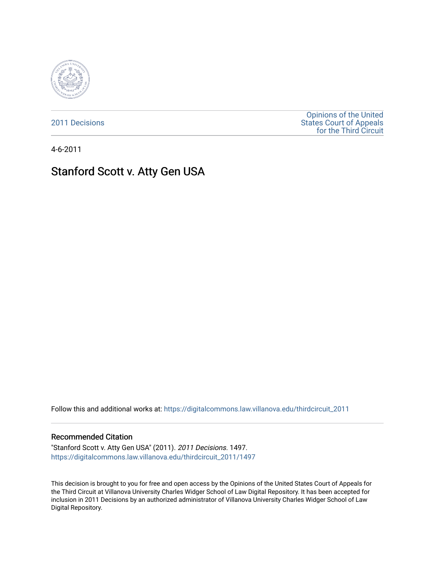

[2011 Decisions](https://digitalcommons.law.villanova.edu/thirdcircuit_2011)

[Opinions of the United](https://digitalcommons.law.villanova.edu/thirdcircuit)  [States Court of Appeals](https://digitalcommons.law.villanova.edu/thirdcircuit)  [for the Third Circuit](https://digitalcommons.law.villanova.edu/thirdcircuit) 

4-6-2011

# Stanford Scott v. Atty Gen USA

Follow this and additional works at: [https://digitalcommons.law.villanova.edu/thirdcircuit\\_2011](https://digitalcommons.law.villanova.edu/thirdcircuit_2011?utm_source=digitalcommons.law.villanova.edu%2Fthirdcircuit_2011%2F1497&utm_medium=PDF&utm_campaign=PDFCoverPages) 

#### Recommended Citation

"Stanford Scott v. Atty Gen USA" (2011). 2011 Decisions. 1497. [https://digitalcommons.law.villanova.edu/thirdcircuit\\_2011/1497](https://digitalcommons.law.villanova.edu/thirdcircuit_2011/1497?utm_source=digitalcommons.law.villanova.edu%2Fthirdcircuit_2011%2F1497&utm_medium=PDF&utm_campaign=PDFCoverPages) 

This decision is brought to you for free and open access by the Opinions of the United States Court of Appeals for the Third Circuit at Villanova University Charles Widger School of Law Digital Repository. It has been accepted for inclusion in 2011 Decisions by an authorized administrator of Villanova University Charles Widger School of Law Digital Repository.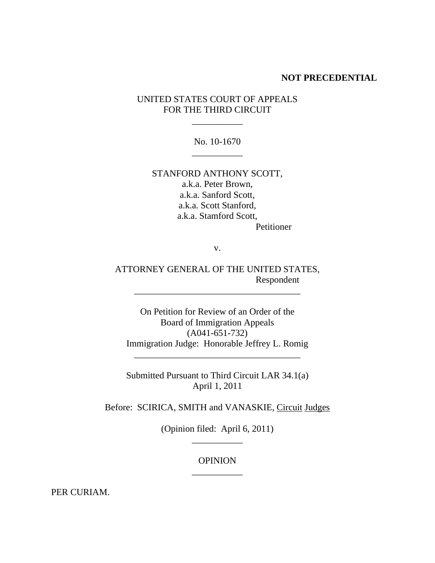#### **NOT PRECEDENTIAL**

# UNITED STATES COURT OF APPEALS FOR THE THIRD CIRCUIT

\_\_\_\_\_\_\_\_\_\_\_

No. 10-1670 \_\_\_\_\_\_\_\_\_\_\_

STANFORD ANTHONY SCOTT, a.k.a. Peter Brown, a.k.a. Sanford Scott, a.k.a. Scott Stanford, a.k.a. Stamford Scott, Petitioner

v.

ATTORNEY GENERAL OF THE UNITED STATES, Respondent

\_\_\_\_\_\_\_\_\_\_\_\_\_\_\_\_\_\_\_\_\_\_\_\_\_\_\_\_\_\_\_\_\_\_\_\_

On Petition for Review of an Order of the Board of Immigration Appeals (A041-651-732) Immigration Judge: Honorable Jeffrey L. Romig

\_\_\_\_\_\_\_\_\_\_\_\_\_\_\_\_\_\_\_\_\_\_\_\_\_\_\_\_\_\_\_\_\_\_\_\_

Submitted Pursuant to Third Circuit LAR 34.1(a) April 1, 2011

Before: SCIRICA, SMITH and VANASKIE, Circuit Judges

(Opinion filed: April 6, 2011) \_\_\_\_\_\_\_\_\_\_\_

# OPINION \_\_\_\_\_\_\_\_\_\_\_

PER CURIAM.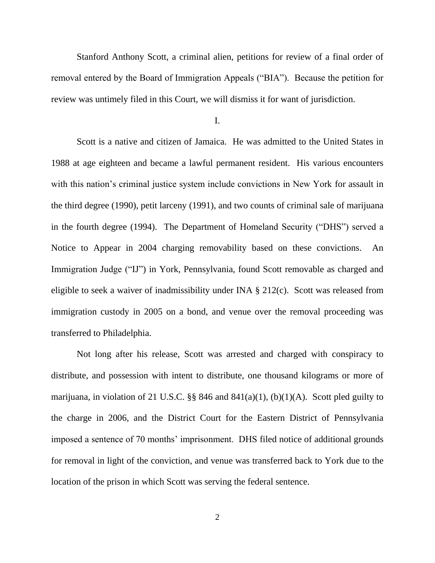Stanford Anthony Scott, a criminal alien, petitions for review of a final order of removal entered by the Board of Immigration Appeals ("BIA"). Because the petition for review was untimely filed in this Court, we will dismiss it for want of jurisdiction.

I.

Scott is a native and citizen of Jamaica. He was admitted to the United States in 1988 at age eighteen and became a lawful permanent resident. His various encounters with this nation's criminal justice system include convictions in New York for assault in the third degree (1990), petit larceny (1991), and two counts of criminal sale of marijuana in the fourth degree (1994). The Department of Homeland Security ("DHS") served a Notice to Appear in 2004 charging removability based on these convictions. An Immigration Judge ("IJ") in York, Pennsylvania, found Scott removable as charged and eligible to seek a waiver of inadmissibility under INA § 212(c). Scott was released from immigration custody in 2005 on a bond, and venue over the removal proceeding was transferred to Philadelphia.

Not long after his release, Scott was arrested and charged with conspiracy to distribute, and possession with intent to distribute, one thousand kilograms or more of marijuana, in violation of 21 U.S.C.  $\S$ § 846 and 841(a)(1), (b)(1)(A). Scott pled guilty to the charge in 2006, and the District Court for the Eastern District of Pennsylvania imposed a sentence of 70 months" imprisonment. DHS filed notice of additional grounds for removal in light of the conviction, and venue was transferred back to York due to the location of the prison in which Scott was serving the federal sentence.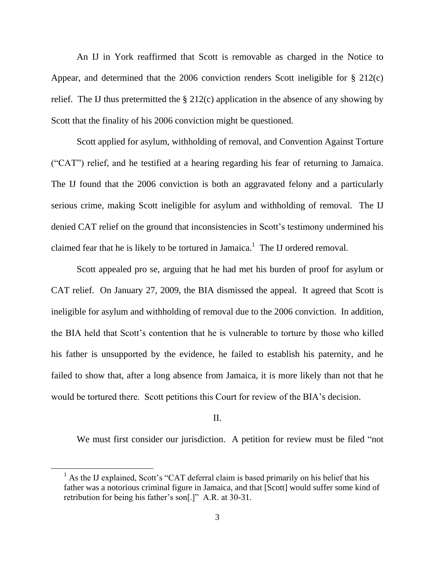An IJ in York reaffirmed that Scott is removable as charged in the Notice to Appear, and determined that the 2006 conviction renders Scott ineligible for § 212(c) relief. The IJ thus pretermitted the  $\S 212(c)$  application in the absence of any showing by Scott that the finality of his 2006 conviction might be questioned.

Scott applied for asylum, withholding of removal, and Convention Against Torture ("CAT") relief, and he testified at a hearing regarding his fear of returning to Jamaica. The IJ found that the 2006 conviction is both an aggravated felony and a particularly serious crime, making Scott ineligible for asylum and withholding of removal. The IJ denied CAT relief on the ground that inconsistencies in Scott's testimony undermined his claimed fear that he is likely to be tortured in Jamaica.<sup>1</sup> The IJ ordered removal.

Scott appealed pro se, arguing that he had met his burden of proof for asylum or CAT relief. On January 27, 2009, the BIA dismissed the appeal. It agreed that Scott is ineligible for asylum and withholding of removal due to the 2006 conviction. In addition, the BIA held that Scott"s contention that he is vulnerable to torture by those who killed his father is unsupported by the evidence, he failed to establish his paternity, and he failed to show that, after a long absence from Jamaica, it is more likely than not that he would be tortured there. Scott petitions this Court for review of the BIA"s decision.

## II.

We must first consider our jurisdiction. A petition for review must be filed "not

 $\overline{a}$ 

 $<sup>1</sup>$  As the IJ explained, Scott's "CAT deferral claim is based primarily on his belief that his</sup> father was a notorious criminal figure in Jamaica, and that [Scott] would suffer some kind of retribution for being his father's son[.]" A.R. at 30-31.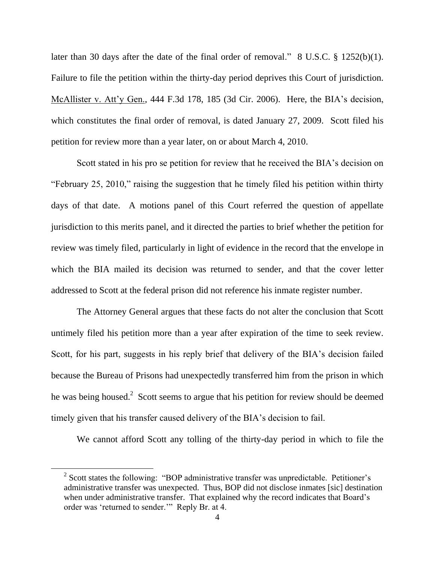later than 30 days after the date of the final order of removal." 8 U.S.C. § 1252(b)(1). Failure to file the petition within the thirty-day period deprives this Court of jurisdiction. McAllister v. Att"y Gen., 444 F.3d 178, 185 (3d Cir. 2006). Here, the BIA"s decision, which constitutes the final order of removal, is dated January 27, 2009. Scott filed his petition for review more than a year later, on or about March 4, 2010.

Scott stated in his pro se petition for review that he received the BIA's decision on "February 25, 2010," raising the suggestion that he timely filed his petition within thirty days of that date. A motions panel of this Court referred the question of appellate jurisdiction to this merits panel, and it directed the parties to brief whether the petition for review was timely filed, particularly in light of evidence in the record that the envelope in which the BIA mailed its decision was returned to sender, and that the cover letter addressed to Scott at the federal prison did not reference his inmate register number.

The Attorney General argues that these facts do not alter the conclusion that Scott untimely filed his petition more than a year after expiration of the time to seek review. Scott, for his part, suggests in his reply brief that delivery of the BIA's decision failed because the Bureau of Prisons had unexpectedly transferred him from the prison in which he was being housed. $2$  Scott seems to argue that his petition for review should be deemed timely given that his transfer caused delivery of the BIA"s decision to fail.

We cannot afford Scott any tolling of the thirty-day period in which to file the

 $\overline{a}$ 

 $2$  Scott states the following: "BOP administrative transfer was unpredictable. Petitioner's administrative transfer was unexpected. Thus, BOP did not disclose inmates [sic] destination when under administrative transfer. That explained why the record indicates that Board's order was "returned to sender."" Reply Br. at 4.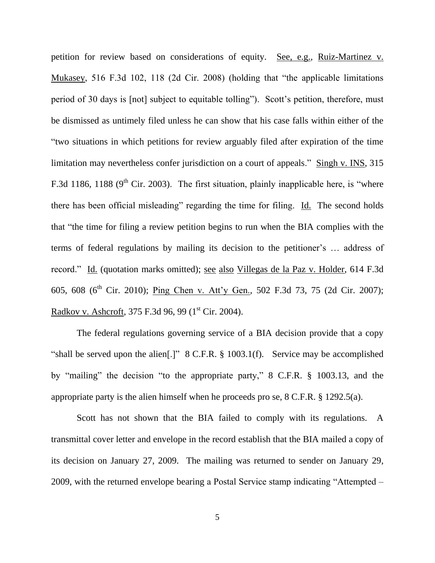petition for review based on considerations of equity. See, e.g., Ruiz-Martinez v. Mukasey, 516 F.3d 102, 118 (2d Cir. 2008) (holding that "the applicable limitations period of 30 days is [not] subject to equitable tolling"). Scott"s petition, therefore, must be dismissed as untimely filed unless he can show that his case falls within either of the "two situations in which petitions for review arguably filed after expiration of the time limitation may nevertheless confer jurisdiction on a court of appeals." Singh v. INS, 315 F.3d 1186, 1188 ( $9<sup>th</sup>$  Cir. 2003). The first situation, plainly inapplicable here, is "where there has been official misleading" regarding the time for filing. Id. The second holds that "the time for filing a review petition begins to run when the BIA complies with the terms of federal regulations by mailing its decision to the petitioner"s … address of record." Id. (quotation marks omitted); see also Villegas de la Paz v. Holder, 614 F.3d 605, 608 (6<sup>th</sup> Cir. 2010); Ping Chen v. Att'y Gen., 502 F.3d 73, 75 (2d Cir. 2007); Radkov v. Ashcroft, 375 F.3d 96, 99 (1<sup>st</sup> Cir. 2004).

The federal regulations governing service of a BIA decision provide that a copy "shall be served upon the alien[.]" 8 C.F.R. § 1003.1(f). Service may be accomplished by "mailing" the decision "to the appropriate party," 8 C.F.R. § 1003.13, and the appropriate party is the alien himself when he proceeds pro se, 8 C.F.R. § 1292.5(a).

Scott has not shown that the BIA failed to comply with its regulations. A transmittal cover letter and envelope in the record establish that the BIA mailed a copy of its decision on January 27, 2009. The mailing was returned to sender on January 29, 2009, with the returned envelope bearing a Postal Service stamp indicating "Attempted –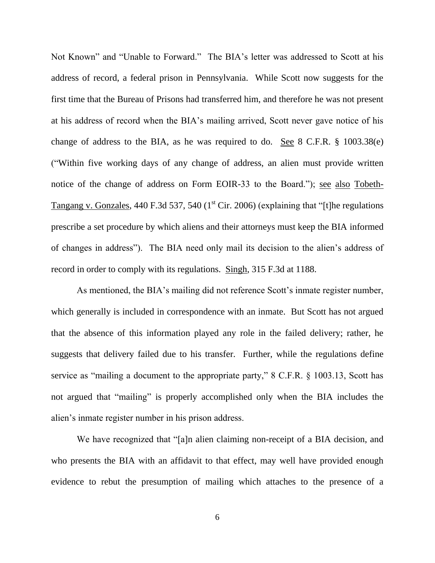Not Known" and "Unable to Forward." The BIA"s letter was addressed to Scott at his address of record, a federal prison in Pennsylvania. While Scott now suggests for the first time that the Bureau of Prisons had transferred him, and therefore he was not present at his address of record when the BIA"s mailing arrived, Scott never gave notice of his change of address to the BIA, as he was required to do. See 8 C.F.R. § 1003.38(e) ("Within five working days of any change of address, an alien must provide written notice of the change of address on Form EOIR-33 to the Board."); see also Tobeth-Tangang v. Gonzales, 440 F.3d 537, 540 ( $1<sup>st</sup> Cir. 2006$ ) (explaining that "[t]he regulations prescribe a set procedure by which aliens and their attorneys must keep the BIA informed of changes in address"). The BIA need only mail its decision to the alien"s address of record in order to comply with its regulations. Singh, 315 F.3d at 1188.

As mentioned, the BIA's mailing did not reference Scott's inmate register number, which generally is included in correspondence with an inmate. But Scott has not argued that the absence of this information played any role in the failed delivery; rather, he suggests that delivery failed due to his transfer. Further, while the regulations define service as "mailing a document to the appropriate party," 8 C.F.R. § 1003.13, Scott has not argued that "mailing" is properly accomplished only when the BIA includes the alien"s inmate register number in his prison address.

We have recognized that "[a]n alien claiming non-receipt of a BIA decision, and who presents the BIA with an affidavit to that effect, may well have provided enough evidence to rebut the presumption of mailing which attaches to the presence of a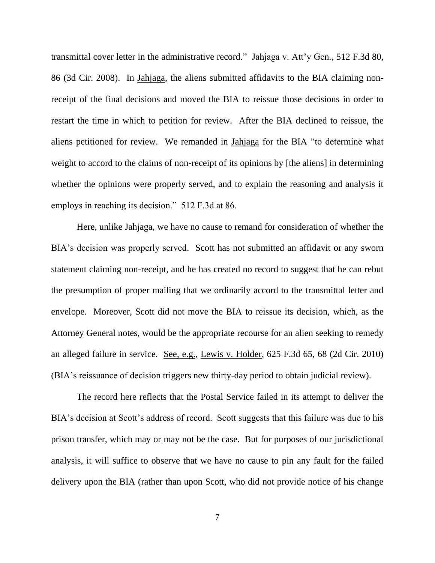transmittal cover letter in the administrative record." Jahjaga v. Att"y Gen., 512 F.3d 80, 86 (3d Cir. 2008). In Jahjaga, the aliens submitted affidavits to the BIA claiming nonreceipt of the final decisions and moved the BIA to reissue those decisions in order to restart the time in which to petition for review. After the BIA declined to reissue, the aliens petitioned for review. We remanded in Jahjaga for the BIA "to determine what weight to accord to the claims of non-receipt of its opinions by [the aliens] in determining whether the opinions were properly served, and to explain the reasoning and analysis it employs in reaching its decision." 512 F.3d at 86.

Here, unlike Jahjaga, we have no cause to remand for consideration of whether the BIA's decision was properly served. Scott has not submitted an affidavit or any sworn statement claiming non-receipt, and he has created no record to suggest that he can rebut the presumption of proper mailing that we ordinarily accord to the transmittal letter and envelope. Moreover, Scott did not move the BIA to reissue its decision, which, as the Attorney General notes, would be the appropriate recourse for an alien seeking to remedy an alleged failure in service. See, e.g., Lewis v. Holder, 625 F.3d 65, 68 (2d Cir. 2010) (BIA"s reissuance of decision triggers new thirty-day period to obtain judicial review).

The record here reflects that the Postal Service failed in its attempt to deliver the BIA's decision at Scott's address of record. Scott suggests that this failure was due to his prison transfer, which may or may not be the case. But for purposes of our jurisdictional analysis, it will suffice to observe that we have no cause to pin any fault for the failed delivery upon the BIA (rather than upon Scott, who did not provide notice of his change